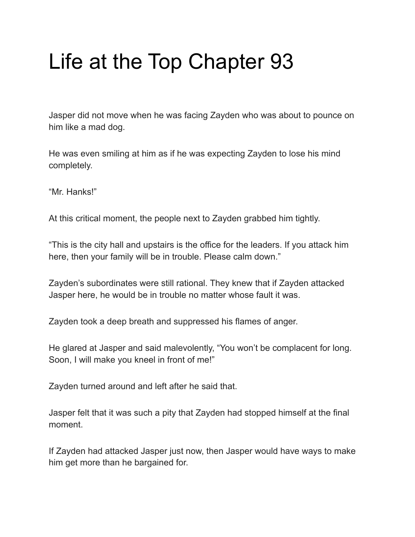## Life at the Top Chapter 93

Jasper did not move when he was facing Zayden who was about to pounce on him like a mad dog.

He was even smiling at him as if he was expecting Zayden to lose his mind completely.

"Mr. Hanks!"

At this critical moment, the people next to Zayden grabbed him tightly.

"This is the city hall and upstairs is the office for the leaders. If you attack him here, then your family will be in trouble. Please calm down."

Zayden's subordinates were still rational. They knew that if Zayden attacked Jasper here, he would be in trouble no matter whose fault it was.

Zayden took a deep breath and suppressed his flames of anger.

He glared at Jasper and said malevolently, "You won't be complacent for long. Soon, I will make you kneel in front of me!"

Zayden turned around and left after he said that.

Jasper felt that it was such a pity that Zayden had stopped himself at the final moment.

If Zayden had attacked Jasper just now, then Jasper would have ways to make him get more than he bargained for.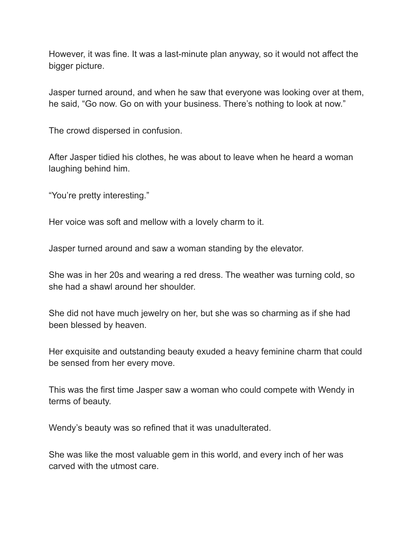However, it was fine. It was a last-minute plan anyway, so it would not affect the bigger picture.

Jasper turned around, and when he saw that everyone was looking over at them, he said, "Go now. Go on with your business. There's nothing to look at now."

The crowd dispersed in confusion.

After Jasper tidied his clothes, he was about to leave when he heard a woman laughing behind him.

"You're pretty interesting."

Her voice was soft and mellow with a lovely charm to it.

Jasper turned around and saw a woman standing by the elevator.

She was in her 20s and wearing a red dress. The weather was turning cold, so she had a shawl around her shoulder.

She did not have much jewelry on her, but she was so charming as if she had been blessed by heaven.

Her exquisite and outstanding beauty exuded a heavy feminine charm that could be sensed from her every move.

This was the first time Jasper saw a woman who could compete with Wendy in terms of beauty.

Wendy's beauty was so refined that it was unadulterated.

She was like the most valuable gem in this world, and every inch of her was carved with the utmost care.